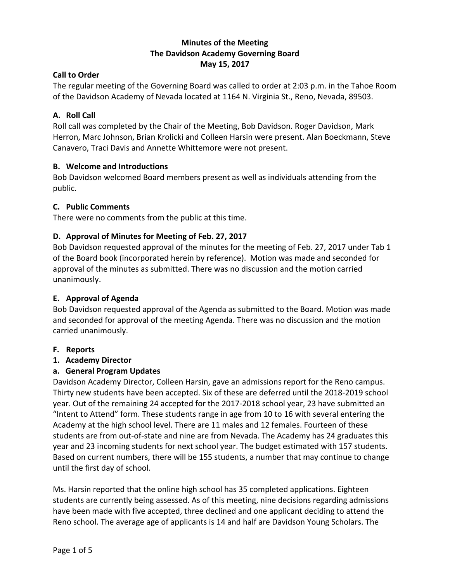## **Minutes of the Meeting The Davidson Academy Governing Board May 15, 2017**

### **Call to Order**

The regular meeting of the Governing Board was called to order at 2:03 p.m. in the Tahoe Room of the Davidson Academy of Nevada located at 1164 N. Virginia St., Reno, Nevada, 89503.

### **A. Roll Call**

Roll call was completed by the Chair of the Meeting, Bob Davidson. Roger Davidson, Mark Herron, Marc Johnson, Brian Krolicki and Colleen Harsin were present. Alan Boeckmann, Steve Canavero, Traci Davis and Annette Whittemore were not present.

### **B. Welcome and Introductions**

Bob Davidson welcomed Board members present as well as individuals attending from the public.

### **C. Public Comments**

There were no comments from the public at this time.

## **D. Approval of Minutes for Meeting of Feb. 27, 2017**

Bob Davidson requested approval of the minutes for the meeting of Feb. 27, 2017 under Tab 1 of the Board book (incorporated herein by reference). Motion was made and seconded for approval of the minutes as submitted. There was no discussion and the motion carried unanimously.

## **E. Approval of Agenda**

Bob Davidson requested approval of the Agenda as submitted to the Board. Motion was made and seconded for approval of the meeting Agenda. There was no discussion and the motion carried unanimously.

#### **F. Reports**

#### **1. Academy Director**

#### **a. General Program Updates**

Davidson Academy Director, Colleen Harsin, gave an admissions report for the Reno campus. Thirty new students have been accepted. Six of these are deferred until the 2018-2019 school year. Out of the remaining 24 accepted for the 2017-2018 school year, 23 have submitted an "Intent to Attend" form. These students range in age from 10 to 16 with several entering the Academy at the high school level. There are 11 males and 12 females. Fourteen of these students are from out-of-state and nine are from Nevada. The Academy has 24 graduates this year and 23 incoming students for next school year. The budget estimated with 157 students. Based on current numbers, there will be 155 students, a number that may continue to change until the first day of school.

Ms. Harsin reported that the online high school has 35 completed applications. Eighteen students are currently being assessed. As of this meeting, nine decisions regarding admissions have been made with five accepted, three declined and one applicant deciding to attend the Reno school. The average age of applicants is 14 and half are Davidson Young Scholars. The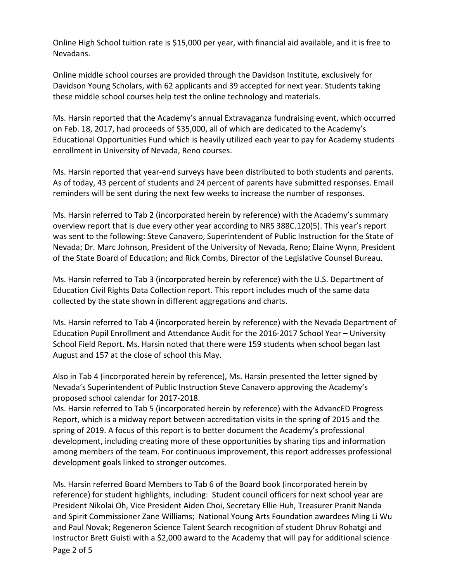Online High School tuition rate is \$15,000 per year, with financial aid available, and it is free to Nevadans.

Online middle school courses are provided through the Davidson Institute, exclusively for Davidson Young Scholars, with 62 applicants and 39 accepted for next year. Students taking these middle school courses help test the online technology and materials.

Ms. Harsin reported that the Academy's annual Extravaganza fundraising event, which occurred on Feb. 18, 2017, had proceeds of \$35,000, all of which are dedicated to the Academy's Educational Opportunities Fund which is heavily utilized each year to pay for Academy students enrollment in University of Nevada, Reno courses.

Ms. Harsin reported that year-end surveys have been distributed to both students and parents. As of today, 43 percent of students and 24 percent of parents have submitted responses. Email reminders will be sent during the next few weeks to increase the number of responses.

Ms. Harsin referred to Tab 2 (incorporated herein by reference) with the Academy's summary overview report that is due every other year according to NRS 388C.120(5). This year's report was sent to the following: Steve Canavero, Superintendent of Public Instruction for the State of Nevada; Dr. Marc Johnson, President of the University of Nevada, Reno; Elaine Wynn, President of the State Board of Education; and Rick Combs, Director of the Legislative Counsel Bureau.

Ms. Harsin referred to Tab 3 (incorporated herein by reference) with the U.S. Department of Education Civil Rights Data Collection report. This report includes much of the same data collected by the state shown in different aggregations and charts.

Ms. Harsin referred to Tab 4 (incorporated herein by reference) with the Nevada Department of Education Pupil Enrollment and Attendance Audit for the 2016-2017 School Year – University School Field Report. Ms. Harsin noted that there were 159 students when school began last August and 157 at the close of school this May.

Also in Tab 4 (incorporated herein by reference), Ms. Harsin presented the letter signed by Nevada's Superintendent of Public Instruction Steve Canavero approving the Academy's proposed school calendar for 2017-2018.

Ms. Harsin referred to Tab 5 (incorporated herein by reference) with the AdvancED Progress Report, which is a midway report between accreditation visits in the spring of 2015 and the spring of 2019. A focus of this report is to better document the Academy's professional development, including creating more of these opportunities by sharing tips and information among members of the team. For continuous improvement, this report addresses professional development goals linked to stronger outcomes.

Ms. Harsin referred Board Members to Tab 6 of the Board book (incorporated herein by reference) for student highlights, including: Student council officers for next school year are President Nikolai Oh, Vice President Aiden Choi, Secretary Ellie Huh, Treasurer Pranit Nanda and Spirit Commissioner Zane Williams; National Young Arts Foundation awardees Ming Li Wu and Paul Novak; Regeneron Science Talent Search recognition of student Dhruv Rohatgi and Instructor Brett Guisti with a \$2,000 award to the Academy that will pay for additional science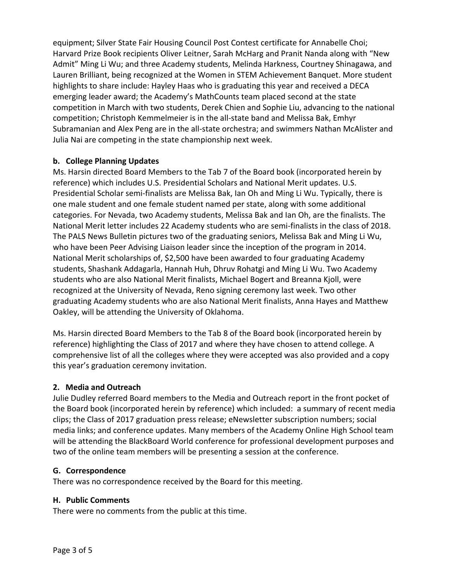equipment; Silver State Fair Housing Council Post Contest certificate for Annabelle Choi; Harvard Prize Book recipients Oliver Leitner, Sarah McHarg and Pranit Nanda along with "New Admit" Ming Li Wu; and three Academy students, Melinda Harkness, Courtney Shinagawa, and Lauren Brilliant, being recognized at the Women in STEM Achievement Banquet. More student highlights to share include: Hayley Haas who is graduating this year and received a DECA emerging leader award; the Academy's MathCounts team placed second at the state competition in March with two students, Derek Chien and Sophie Liu, advancing to the national competition; Christoph Kemmelmeier is in the all-state band and Melissa Bak, Emhyr Subramanian and Alex Peng are in the all-state orchestra; and swimmers Nathan McAlister and Julia Nai are competing in the state championship next week.

### **b. College Planning Updates**

Ms. Harsin directed Board Members to the Tab 7 of the Board book (incorporated herein by reference) which includes U.S. Presidential Scholars and National Merit updates. U.S. Presidential Scholar semi-finalists are Melissa Bak, Ian Oh and Ming Li Wu. Typically, there is one male student and one female student named per state, along with some additional categories. For Nevada, two Academy students, Melissa Bak and Ian Oh, are the finalists. The National Merit letter includes 22 Academy students who are semi-finalists in the class of 2018. The PALS News Bulletin pictures two of the graduating seniors, Melissa Bak and Ming Li Wu, who have been Peer Advising Liaison leader since the inception of the program in 2014. National Merit scholarships of, \$2,500 have been awarded to four graduating Academy students, Shashank Addagarla, Hannah Huh, Dhruv Rohatgi and Ming Li Wu. Two Academy students who are also National Merit finalists, Michael Bogert and Breanna Kjoll, were recognized at the University of Nevada, Reno signing ceremony last week. Two other graduating Academy students who are also National Merit finalists, Anna Hayes and Matthew Oakley, will be attending the University of Oklahoma.

Ms. Harsin directed Board Members to the Tab 8 of the Board book (incorporated herein by reference) highlighting the Class of 2017 and where they have chosen to attend college. A comprehensive list of all the colleges where they were accepted was also provided and a copy this year's graduation ceremony invitation.

## **2. Media and Outreach**

Julie Dudley referred Board members to the Media and Outreach report in the front pocket of the Board book (incorporated herein by reference) which included: a summary of recent media clips; the Class of 2017 graduation press release; eNewsletter subscription numbers; social media links; and conference updates. Many members of the Academy Online High School team will be attending the BlackBoard World conference for professional development purposes and two of the online team members will be presenting a session at the conference.

#### **G. Correspondence**

There was no correspondence received by the Board for this meeting.

#### **H. Public Comments**

There were no comments from the public at this time.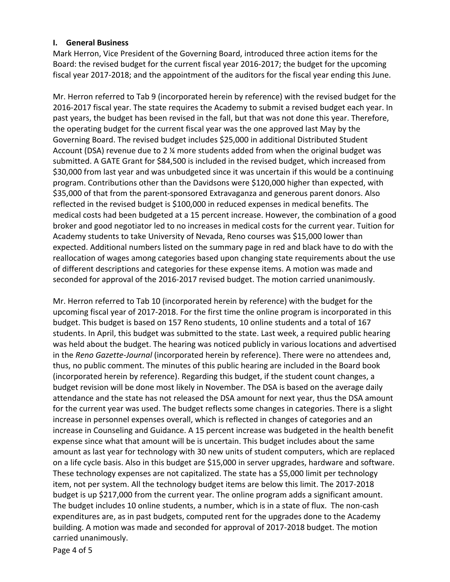#### **I. General Business**

Mark Herron, Vice President of the Governing Board, introduced three action items for the Board: the revised budget for the current fiscal year 2016-2017; the budget for the upcoming fiscal year 2017-2018; and the appointment of the auditors for the fiscal year ending this June.

Mr. Herron referred to Tab 9 (incorporated herein by reference) with the revised budget for the 2016-2017 fiscal year. The state requires the Academy to submit a revised budget each year. In past years, the budget has been revised in the fall, but that was not done this year. Therefore, the operating budget for the current fiscal year was the one approved last May by the Governing Board. The revised budget includes \$25,000 in additional Distributed Student Account (DSA) revenue due to 2 ¼ more students added from when the original budget was submitted. A GATE Grant for \$84,500 is included in the revised budget, which increased from \$30,000 from last year and was unbudgeted since it was uncertain if this would be a continuing program. Contributions other than the Davidsons were \$120,000 higher than expected, with \$35,000 of that from the parent-sponsored Extravaganza and generous parent donors. Also reflected in the revised budget is \$100,000 in reduced expenses in medical benefits. The medical costs had been budgeted at a 15 percent increase. However, the combination of a good broker and good negotiator led to no increases in medical costs for the current year. Tuition for Academy students to take University of Nevada, Reno courses was \$15,000 lower than expected. Additional numbers listed on the summary page in red and black have to do with the reallocation of wages among categories based upon changing state requirements about the use of different descriptions and categories for these expense items. A motion was made and seconded for approval of the 2016-2017 revised budget. The motion carried unanimously.

Mr. Herron referred to Tab 10 (incorporated herein by reference) with the budget for the upcoming fiscal year of 2017-2018. For the first time the online program is incorporated in this budget. This budget is based on 157 Reno students, 10 online students and a total of 167 students. In April, this budget was submitted to the state. Last week, a required public hearing was held about the budget. The hearing was noticed publicly in various locations and advertised in the *Reno Gazette-Journal* (incorporated herein by reference). There were no attendees and, thus, no public comment. The minutes of this public hearing are included in the Board book (incorporated herein by reference). Regarding this budget, if the student count changes, a budget revision will be done most likely in November. The DSA is based on the average daily attendance and the state has not released the DSA amount for next year, thus the DSA amount for the current year was used. The budget reflects some changes in categories. There is a slight increase in personnel expenses overall, which is reflected in changes of categories and an increase in Counseling and Guidance. A 15 percent increase was budgeted in the health benefit expense since what that amount will be is uncertain. This budget includes about the same amount as last year for technology with 30 new units of student computers, which are replaced on a life cycle basis. Also in this budget are \$15,000 in server upgrades, hardware and software. These technology expenses are not capitalized. The state has a \$5,000 limit per technology item, not per system. All the technology budget items are below this limit. The 2017-2018 budget is up \$217,000 from the current year. The online program adds a significant amount. The budget includes 10 online students, a number, which is in a state of flux. The non-cash expenditures are, as in past budgets, computed rent for the upgrades done to the Academy building. A motion was made and seconded for approval of 2017-2018 budget. The motion carried unanimously.